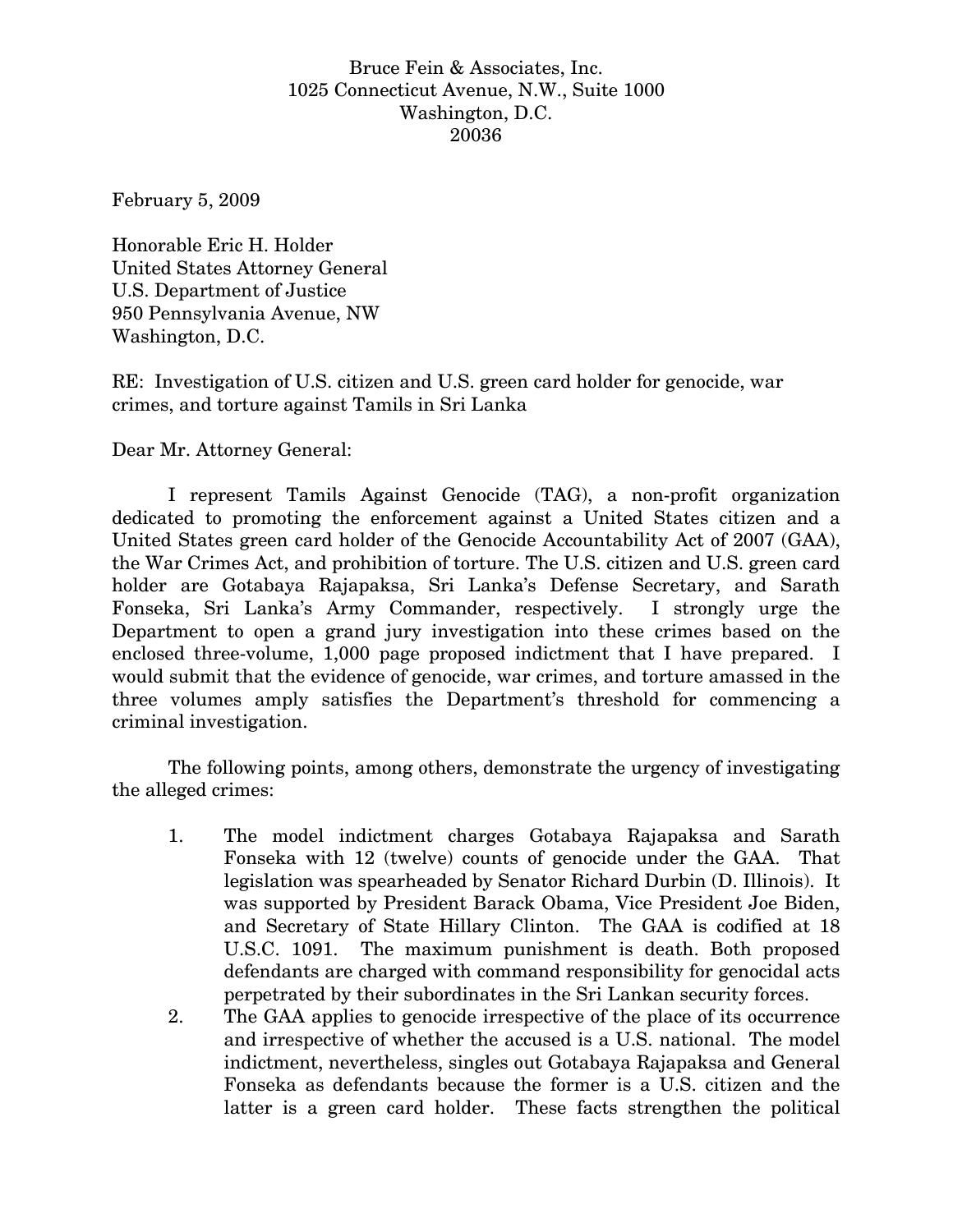## Bruce Fein & Associates, Inc. 1025 Connecticut Avenue, N.W., Suite 1000 Washington, D.C. 20036

February 5, 2009

Honorable Eric H. Holder United States Attorney General U.S. Department of Justice 950 Pennsylvania Avenue, NW Washington, D.C.

RE: Investigation of U.S. citizen and U.S. green card holder for genocide, war crimes, and torture against Tamils in Sri Lanka

Dear Mr. Attorney General:

 I represent Tamils Against Genocide (TAG), a non-profit organization dedicated to promoting the enforcement against a United States citizen and a United States green card holder of the Genocide Accountability Act of 2007 (GAA), the War Crimes Act, and prohibition of torture. The U.S. citizen and U.S. green card holder are Gotabaya Rajapaksa, Sri Lanka's Defense Secretary, and Sarath Fonseka, Sri Lanka's Army Commander, respectively. I strongly urge the Department to open a grand jury investigation into these crimes based on the enclosed three-volume, 1,000 page proposed indictment that I have prepared. I would submit that the evidence of genocide, war crimes, and torture amassed in the three volumes amply satisfies the Department's threshold for commencing a criminal investigation.

 The following points, among others, demonstrate the urgency of investigating the alleged crimes:

- 1. The model indictment charges Gotabaya Rajapaksa and Sarath Fonseka with 12 (twelve) counts of genocide under the GAA. That legislation was spearheaded by Senator Richard Durbin (D. Illinois). It was supported by President Barack Obama, Vice President Joe Biden, and Secretary of State Hillary Clinton. The GAA is codified at 18 U.S.C. 1091. The maximum punishment is death. Both proposed defendants are charged with command responsibility for genocidal acts perpetrated by their subordinates in the Sri Lankan security forces.
- 2. The GAA applies to genocide irrespective of the place of its occurrence and irrespective of whether the accused is a U.S. national. The model indictment, nevertheless, singles out Gotabaya Rajapaksa and General Fonseka as defendants because the former is a U.S. citizen and the latter is a green card holder. These facts strengthen the political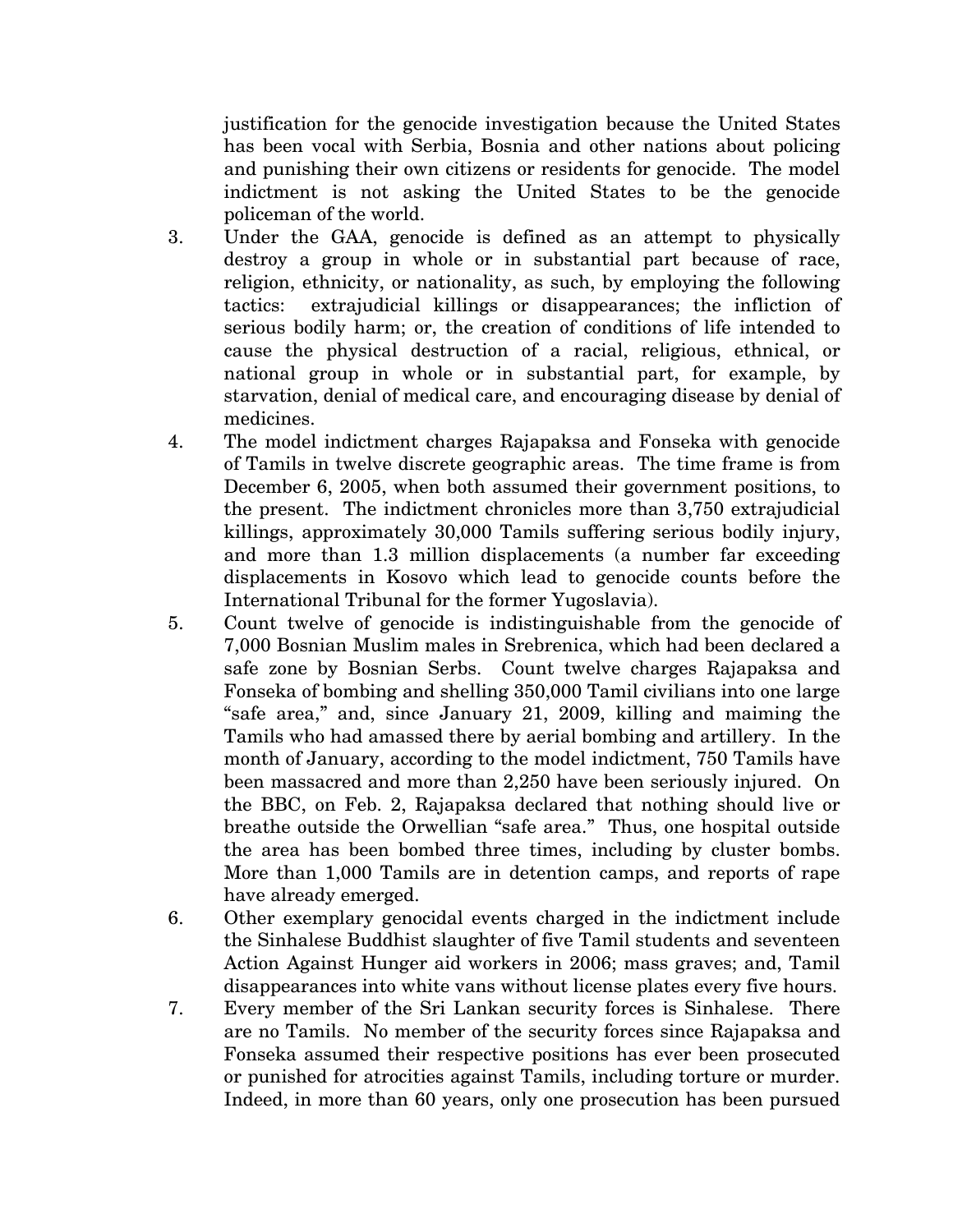justification for the genocide investigation because the United States has been vocal with Serbia, Bosnia and other nations about policing and punishing their own citizens or residents for genocide. The model indictment is not asking the United States to be the genocide policeman of the world.

- 3. Under the GAA, genocide is defined as an attempt to physically destroy a group in whole or in substantial part because of race, religion, ethnicity, or nationality, as such, by employing the following tactics: extrajudicial killings or disappearances; the infliction of serious bodily harm; or, the creation of conditions of life intended to cause the physical destruction of a racial, religious, ethnical, or national group in whole or in substantial part, for example, by starvation, denial of medical care, and encouraging disease by denial of medicines.
- 4. The model indictment charges Rajapaksa and Fonseka with genocide of Tamils in twelve discrete geographic areas. The time frame is from December 6, 2005, when both assumed their government positions, to the present. The indictment chronicles more than 3,750 extrajudicial killings, approximately 30,000 Tamils suffering serious bodily injury, and more than 1.3 million displacements (a number far exceeding displacements in Kosovo which lead to genocide counts before the International Tribunal for the former Yugoslavia).
- 5. Count twelve of genocide is indistinguishable from the genocide of 7,000 Bosnian Muslim males in Srebrenica, which had been declared a safe zone by Bosnian Serbs. Count twelve charges Rajapaksa and Fonseka of bombing and shelling 350,000 Tamil civilians into one large "safe area," and, since January 21, 2009, killing and maiming the Tamils who had amassed there by aerial bombing and artillery. In the month of January, according to the model indictment, 750 Tamils have been massacred and more than 2,250 have been seriously injured. On the BBC, on Feb. 2, Rajapaksa declared that nothing should live or breathe outside the Orwellian "safe area." Thus, one hospital outside the area has been bombed three times, including by cluster bombs. More than 1,000 Tamils are in detention camps, and reports of rape have already emerged.
- 6. Other exemplary genocidal events charged in the indictment include the Sinhalese Buddhist slaughter of five Tamil students and seventeen Action Against Hunger aid workers in 2006; mass graves; and, Tamil disappearances into white vans without license plates every five hours.
- 7. Every member of the Sri Lankan security forces is Sinhalese. There are no Tamils. No member of the security forces since Rajapaksa and Fonseka assumed their respective positions has ever been prosecuted or punished for atrocities against Tamils, including torture or murder. Indeed, in more than 60 years, only one prosecution has been pursued